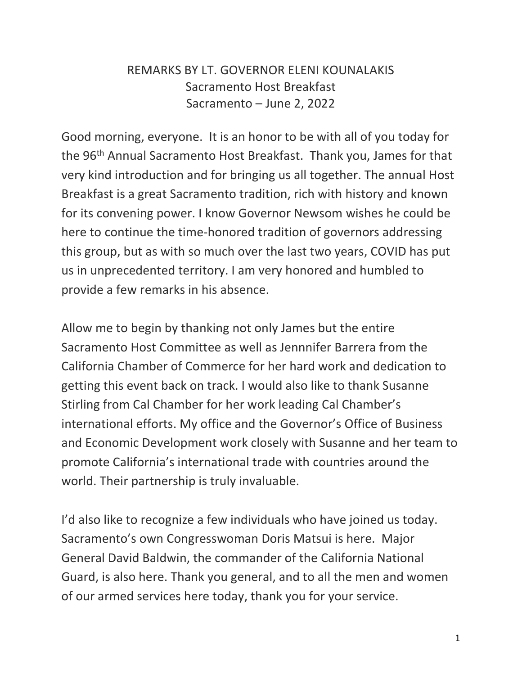## REMARKS BY LT. GOVERNOR ELENI KOUNALAKIS Sacramento Host Breakfast Sacramento – June 2, 2022

Good morning, everyone. It is an honor to be with all of you today for the 96<sup>th</sup> Annual Sacramento Host Breakfast. Thank you, James for that very kind introduction and for bringing us all together. The annual Host Breakfast is a great Sacramento tradition, rich with history and known for its convening power. I know Governor Newsom wishes he could be here to continue the time-honored tradition of governors addressing this group, but as with so much over the last two years, COVID has put us in unprecedented territory. I am very honored and humbled to provide a few remarks in his absence.

Allow me to begin by thanking not only James but the entire Sacramento Host Committee as well as Jennnifer Barrera from the California Chamber of Commerce for her hard work and dedication to getting this event back on track. I would also like to thank Susanne Stirling from Cal Chamber for her work leading Cal Chamber's international efforts. My office and the Governor's Office of Business and Economic Development work closely with Susanne and her team to promote California's international trade with countries around the world. Their partnership is truly invaluable.

I'd also like to recognize a few individuals who have joined us today. Sacramento's own Congresswoman Doris Matsui is here. Major General David Baldwin, the commander of the California National Guard, is also here. Thank you general, and to all the men and women of our armed services here today, thank you for your service.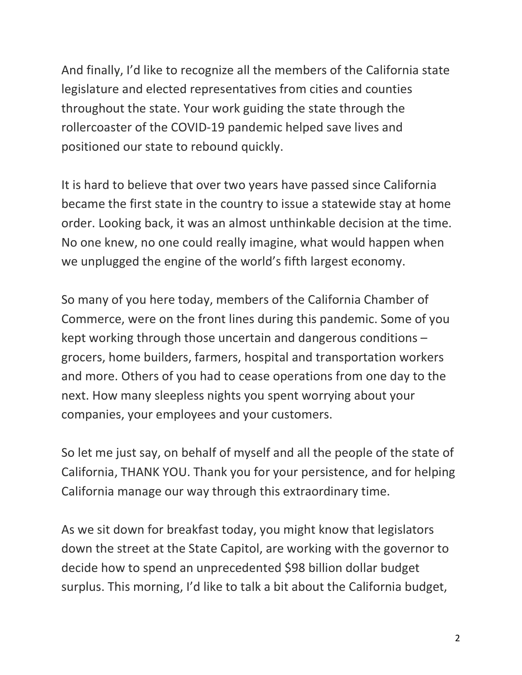And finally, I'd like to recognize all the members of the California state legislature and elected representatives from cities and counties throughout the state. Your work guiding the state through the rollercoaster of the COVID-19 pandemic helped save lives and positioned our state to rebound quickly.

It is hard to believe that over two years have passed since California became the first state in the country to issue a statewide stay at home order. Looking back, it was an almost unthinkable decision at the time. No one knew, no one could really imagine, what would happen when we unplugged the engine of the world's fifth largest economy.

So many of you here today, members of the California Chamber of Commerce, were on the front lines during this pandemic. Some of you kept working through those uncertain and dangerous conditions – grocers, home builders, farmers, hospital and transportation workers and more. Others of you had to cease operations from one day to the next. How many sleepless nights you spent worrying about your companies, your employees and your customers.

So let me just say, on behalf of myself and all the people of the state of California, THANK YOU. Thank you for your persistence, and for helping California manage our way through this extraordinary time.

As we sit down for breakfast today, you might know that legislators down the street at the State Capitol, are working with the governor to decide how to spend an unprecedented \$98 billion dollar budget surplus. This morning, I'd like to talk a bit about the California budget,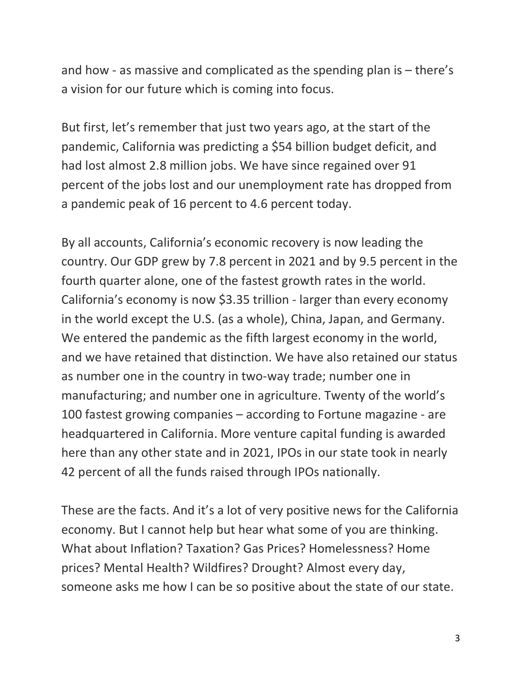and how - as massive and complicated as the spending plan is – there's a vision for our future which is coming into focus.

But first, let's remember that just two years ago, at the start of the pandemic, California was predicting a \$54 billion budget deficit, and had lost almost 2.8 million jobs. We have since regained over 91 percent of the jobs lost and our unemployment rate has dropped from a pandemic peak of 16 percent to 4.6 percent today.

By all accounts, California's economic recovery is now leading the country. Our GDP grew by 7.8 percent in 2021 and by 9.5 percent in the fourth quarter alone, one of the fastest growth rates in the world. California's economy is now \$3.35 trillion - larger than every economy in the world except the U.S. (as a whole), China, Japan, and Germany. We entered the pandemic as the fifth largest economy in the world, and we have retained that distinction. We have also retained our status as number one in the country in two-way trade; number one in manufacturing; and number one in agriculture. Twenty of the world's 100 fastest growing companies – according to Fortune magazine - are headquartered in California. More venture capital funding is awarded here than any other state and in 2021, IPOs in our state took in nearly 42 percent of all the funds raised through IPOs nationally.

These are the facts. And it's a lot of very positive news for the California economy. But I cannot help but hear what some of you are thinking. What about Inflation? Taxation? Gas Prices? Homelessness? Home prices? Mental Health? Wildfires? Drought? Almost every day, someone asks me how I can be so positive about the state of our state.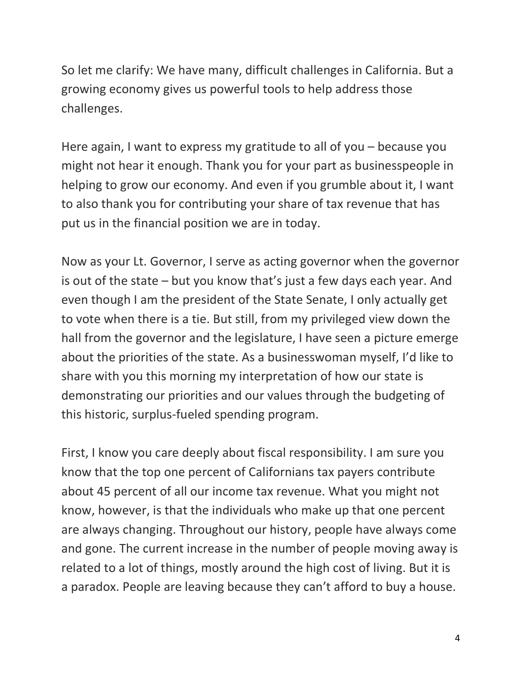So let me clarify: We have many, difficult challenges in California. But a growing economy gives us powerful tools to help address those challenges.

Here again, I want to express my gratitude to all of you – because you might not hear it enough. Thank you for your part as businesspeople in helping to grow our economy. And even if you grumble about it, I want to also thank you for contributing your share of tax revenue that has put us in the financial position we are in today.

Now as your Lt. Governor, I serve as acting governor when the governor is out of the state – but you know that's just a few days each year. And even though I am the president of the State Senate, I only actually get to vote when there is a tie. But still, from my privileged view down the hall from the governor and the legislature, I have seen a picture emerge about the priorities of the state. As a businesswoman myself, I'd like to share with you this morning my interpretation of how our state is demonstrating our priorities and our values through the budgeting of this historic, surplus-fueled spending program.

First, I know you care deeply about fiscal responsibility. I am sure you know that the top one percent of Californians tax payers contribute about 45 percent of all our income tax revenue. What you might not know, however, is that the individuals who make up that one percent are always changing. Throughout our history, people have always come and gone. The current increase in the number of people moving away is related to a lot of things, mostly around the high cost of living. But it is a paradox. People are leaving because they can't afford to buy a house.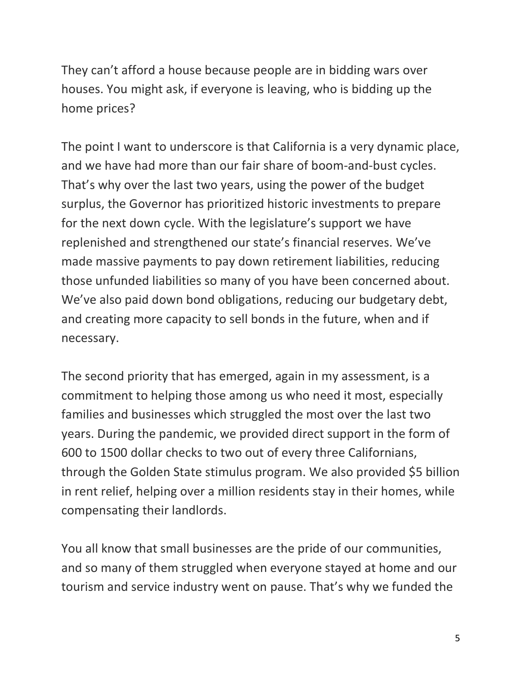They can't afford a house because people are in bidding wars over houses. You might ask, if everyone is leaving, who is bidding up the home prices?

The point I want to underscore is that California is a very dynamic place, and we have had more than our fair share of boom-and-bust cycles. That's why over the last two years, using the power of the budget surplus, the Governor has prioritized historic investments to prepare for the next down cycle. With the legislature's support we have replenished and strengthened our state's financial reserves. We've made massive payments to pay down retirement liabilities, reducing those unfunded liabilities so many of you have been concerned about. We've also paid down bond obligations, reducing our budgetary debt, and creating more capacity to sell bonds in the future, when and if necessary.

The second priority that has emerged, again in my assessment, is a commitment to helping those among us who need it most, especially families and businesses which struggled the most over the last two years. During the pandemic, we provided direct support in the form of 600 to 1500 dollar checks to two out of every three Californians, through the Golden State stimulus program. We also provided \$5 billion in rent relief, helping over a million residents stay in their homes, while compensating their landlords.

You all know that small businesses are the pride of our communities, and so many of them struggled when everyone stayed at home and our tourism and service industry went on pause. That's why we funded the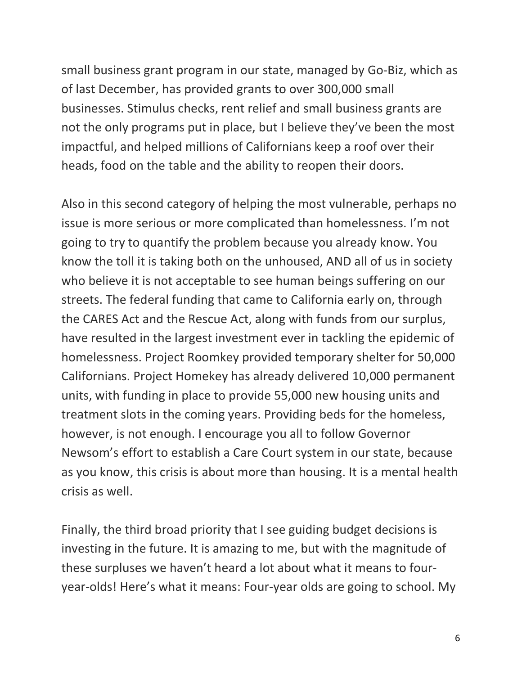small business grant program in our state, managed by Go-Biz, which as of last December, has provided grants to over 300,000 small businesses. Stimulus checks, rent relief and small business grants are not the only programs put in place, but I believe they've been the most impactful, and helped millions of Californians keep a roof over their heads, food on the table and the ability to reopen their doors.

Also in this second category of helping the most vulnerable, perhaps no issue is more serious or more complicated than homelessness. I'm not going to try to quantify the problem because you already know. You know the toll it is taking both on the unhoused, AND all of us in society who believe it is not acceptable to see human beings suffering on our streets. The federal funding that came to California early on, through the CARES Act and the Rescue Act, along with funds from our surplus, have resulted in the largest investment ever in tackling the epidemic of homelessness. Project Roomkey provided temporary shelter for 50,000 Californians. Project Homekey has already delivered 10,000 permanent units, with funding in place to provide 55,000 new housing units and treatment slots in the coming years. Providing beds for the homeless, however, is not enough. I encourage you all to follow Governor Newsom's effort to establish a Care Court system in our state, because as you know, this crisis is about more than housing. It is a mental health crisis as well.

Finally, the third broad priority that I see guiding budget decisions is investing in the future. It is amazing to me, but with the magnitude of these surpluses we haven't heard a lot about what it means to fouryear-olds! Here's what it means: Four-year olds are going to school. My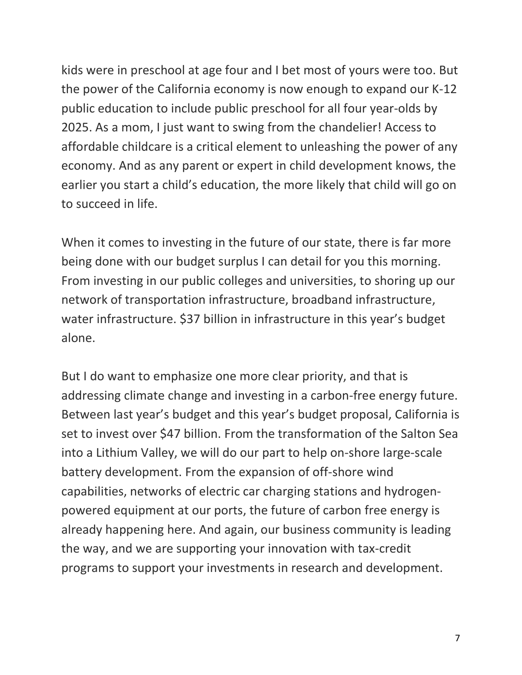kids were in preschool at age four and I bet most of yours were too. But the power of the California economy is now enough to expand our K-12 public education to include public preschool for all four year-olds by 2025. As a mom, I just want to swing from the chandelier! Access to affordable childcare is a critical element to unleashing the power of any economy. And as any parent or expert in child development knows, the earlier you start a child's education, the more likely that child will go on to succeed in life.

When it comes to investing in the future of our state, there is far more being done with our budget surplus I can detail for you this morning. From investing in our public colleges and universities, to shoring up our network of transportation infrastructure, broadband infrastructure, water infrastructure. \$37 billion in infrastructure in this year's budget alone.

But I do want to emphasize one more clear priority, and that is addressing climate change and investing in a carbon-free energy future. Between last year's budget and this year's budget proposal, California is set to invest over \$47 billion. From the transformation of the Salton Sea into a Lithium Valley, we will do our part to help on-shore large-scale battery development. From the expansion of off-shore wind capabilities, networks of electric car charging stations and hydrogenpowered equipment at our ports, the future of carbon free energy is already happening here. And again, our business community is leading the way, and we are supporting your innovation with tax-credit programs to support your investments in research and development.